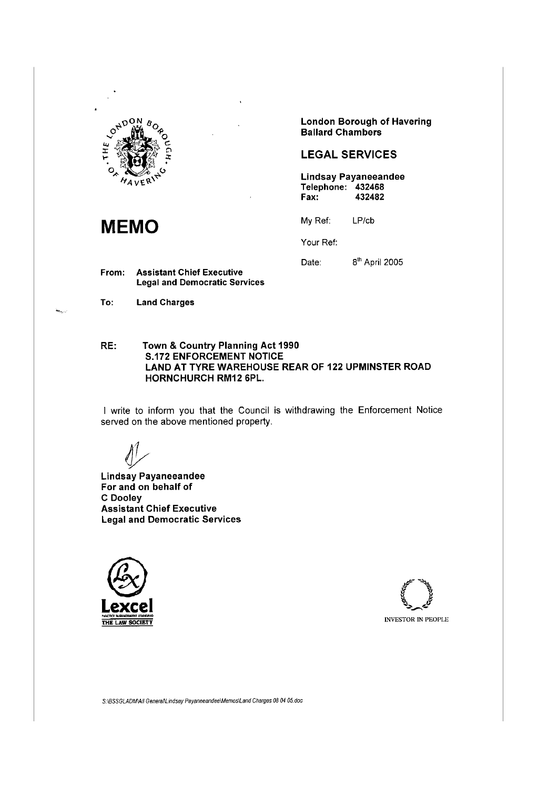

**MEMO** My Ref:

From: Assistant Chief Executive Legal and Democratic Services

To: Land Charges

London Borough of Havering Ballard Chambers

# LEGAL SERVICES

Lindsay Payaneeandee Telephone: 432468<br>Fax: 432482 432482

LP/cb

Your Ref:

Date: 8<sup>th</sup> April 2005

RE: Town & Country Planning Act 1990 S.172 ENFORCEMENT NOTICE LAND AT TYRE WAREHOUSE REAR OF 122 UPMINSTER ROAD HORNCHURCH RM12 6PL.

I write to inform you that the Council is withdrawing the Enforcement Notice served on the above mentioned property.

Lindsay Payaneeandee For and on behalf of C Dooley Assistant Chief Executive Legal and Democratic Services





S:\BSSGLADM\All GeneraNLindsay Payaneeandee\Memos\Land Charges 08 04 05.doc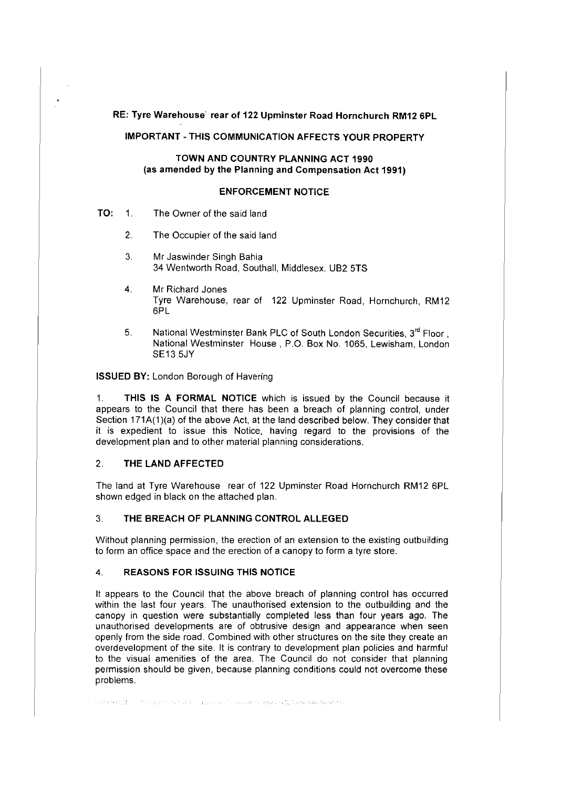RE: Tyre Warehouse` rear of 122 Upminster Road Hornchurch RM12 6PL

**IMPORTANT-THIS COMMUNICATION AFFECTS YOUR PROPERTY** 

# **TOWN AND COUNTRY PLANNING ACT 1990** (as **amended by the Planning and Compensation Act 1991)**

## **ENFORCEMENT NOTICE**

- **TO:** 1. The Owner of the said land
	- 2. The Occupier of the said land
	- 3. Mr Jaswinder Singh Bahia 34 Wentworth Road, Southall, Middlesex. UB2 5TS
	- 4. Mr Richard Jones Tyre Warehouse, rear of 122 Upminster Road, Hornchurch, RM12 6PL
	- 5. National Westminster Bank PLC of South London Securities, 3<sup>rd</sup> Floor, National Westminster House, P.O. Box No. 1065, Lewisham, London SE135JY

**ISSUED BY:** London Borough of Havering

1. **THIS IS A FORMAL NOTICE** which is issued by the Council because it appears to the Council that there has been a breach of planning control, under Section 171A(1)(a) of the above Act, at the land described below. They consider that it is expedient to issue this Notice, having regard to the provisions of the development plan and to other material planning considerations.

### 2. **THE LAND AFFECTED**

The land at Tyre Warehouse rear of 122 Upminster Road Hornchurch RM12 6PL shown edged in black on the attached plan.

# 3. **THE BREACH OF PLANNING CONTROL ALLEGED**

Without planning permission, the erection of an extension to the existing outbuilding to form an office space and the erection of a canopy to form a tyre store.

## 4. **REASONS FOR ISSUING THIS NOTICE**

It appears to the Council that the above breach of planning control has occurred within the last four years. The unauthorised extension to the outbuilding and the canopy in question were substantially completed less than four years ago. The unauthorised developments are of obtrusive design and appearance when seen openly from the side road. Combined with other structures on the site they create an overdevelopment of the site. It is contrary to development plan policies and harmful to the visual amenities of the area. The Council do not consider that planning permission should be given, because planning conditions could not overcome these problems.

subserve the conditioner of the maximum and the subserved theory of 22.1 peak pair fired in a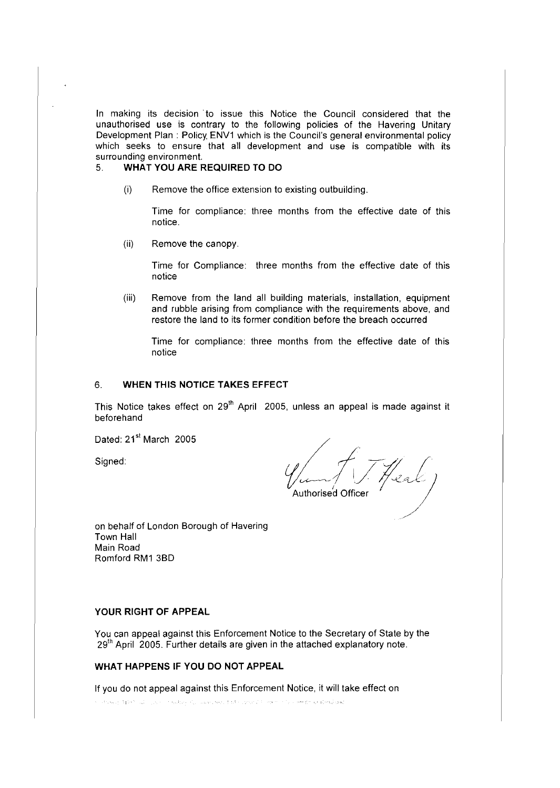In making its decision to issue this Notice the Council considered that the unauthorised use is contrary to the following policies of the Havering Unitary Development Plan : Policy ENV1 which is the Council's general environmental policy which seeks to ensure that all development and use is compatible with its surrounding environment.<br>5 **WHAT YOU ARE F** 

# **WHAT YOU ARE REQUIRED TO DO**

(i) Remove the office extension to existing outbuilding.

Time for compliance: three months from the effective date of this notice.

(ii) Remove the canopy.

Time for Compliance: three months from the effective date of this notice

(iii) Remove from the land all building materials, installation, equipment and rubble arising from compliance with the requirements above, and restore the land to its former condition before the breach occurred

Time for compliance: three months from the effective date of this notice

# 6. **WHEN THIS NOTICE TAKES EFFECT**

This Notice takes effect on 29<sup>th</sup> April 2005, unless an appeal is made against it beforehand

Dated: 21<sup>st</sup> March 2005

Signed:

 $\frac{1}{\mathcal{L}}$ Authorised Officer /

on behalf of London Borough of Havering Town Hall Main Road Romford RM1 3BD

### **YOUR RIGHT OF APPEAL**

You can appeal against this Enforcement Notice to the Secretary of State by the 29<sup>th</sup> April 2005. Further details are given in the attached explanatory note.

## **WHAT HAPPENS IF YOU DO NOT APPEAL**

If you do not appeal against this Enforcement Notice, it will take effect on artiskel MMA all 1983 i taletje de alementare foto prend forma de amatementaria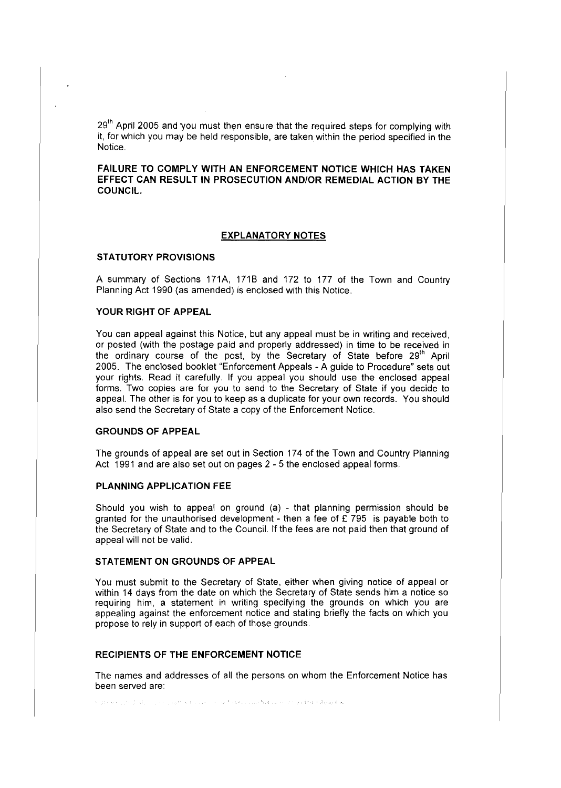29<sup>th</sup> April 2005 and you must then ensure that the required steps for complying with it, for which you may be held responsible, are taken within the period specified in the Notice.

**FAILURE TO COMPLY WITH AN ENFORCEMENT NOTICE WHICH HAS TAKEN EFFECT CAN RESULT IN PROSECUTION AND/OR REMEDIAL ACTION BY THE COUNCIL.** 

#### **EXPLANATORY NOTES**

#### **STATUTORY PROVISIONS**

A summary of Sections 171A, 1718 and 172 to 177 of the Town and Country Planning Act 1990 (as amended) is enclosed with this Notice.

## **YOUR RIGHT OF APPEAL**

You can appeal against this Notice, but any appeal must be in writing and received, or posted (with the postage paid and properly addressed) in time to be received in the ordinary course of the post, by the Secretary of State before 29<sup>th</sup> April 2005. The enclosed booklet "Enforcement Appeals - A guide to Procedure" sets out your rights. Read it carefully. If you appeal you should use the enclosed appeal forms. Two copies are for you to send to the Secretary of State if you decide to appeal. The other is for you to keep as a duplicate for your own records. You should also send the Secretary of State a copy of the Enforcement Notice.

### **GROUNDS OF APPEAL**

The grounds of appeal are set out in Section 174 of the Town and Country Planning Act 1991 and are also set out on pages 2 - 5 the enclosed appeal forms.

# **PLANNING APPLICATION FEE**

Should you wish to appeal on ground (a) - that planning permission should be granted for the unauthorised development - then a fee of  $E$  795 is payable both to the Secretary of State and to the Council. If the fees are not paid then that ground of appeal will not be valid.

#### **STATEMENT ON GROUNDS OF APPEAL**

You must submit to the Secretary of State, either when giving notice of appeal or within 14 days from the date on which the Secretary of State sends him a notice so requiring him, a statement in writing specifying the grounds on which you are appealing against the enforcement notice and stating briefly the facts on which you propose to rely in support of each of those grounds.

#### **RECIPIENTS OF THE ENFORCEMENT NOTICE**

The names and addresses of all the persons on whom the Enforcement Notice has been served are:

Supreme principal, a construction and a constitutional constitution of particular Results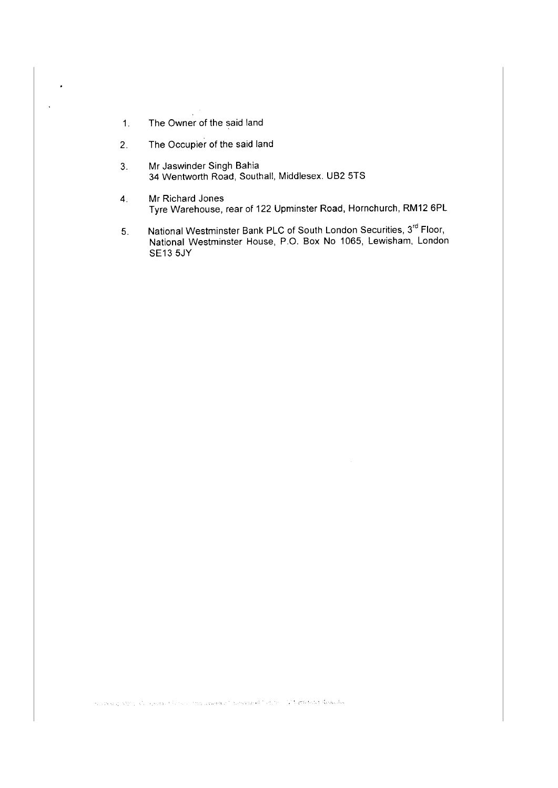- 1. The Owner of the said land
- 2. The Occupier of the said land
- 3. Mr Jaswinder Singh Bahia 34 Wentworth Road, Southall, Middlesex. UB2 5TS
- 4. Mr Richard Jones Tyre Warehouse, rear of 122 Upminster Road, Hornchurch, RM12 6PL
- 5. National Westminster Bank PLC of South London Securities, 3° Floor, National Westminster House, P.O. Box No 1065, Lewisham, London SE135JY

Secretary ASS and complete the second the construction of the control of the CMA properties destructive